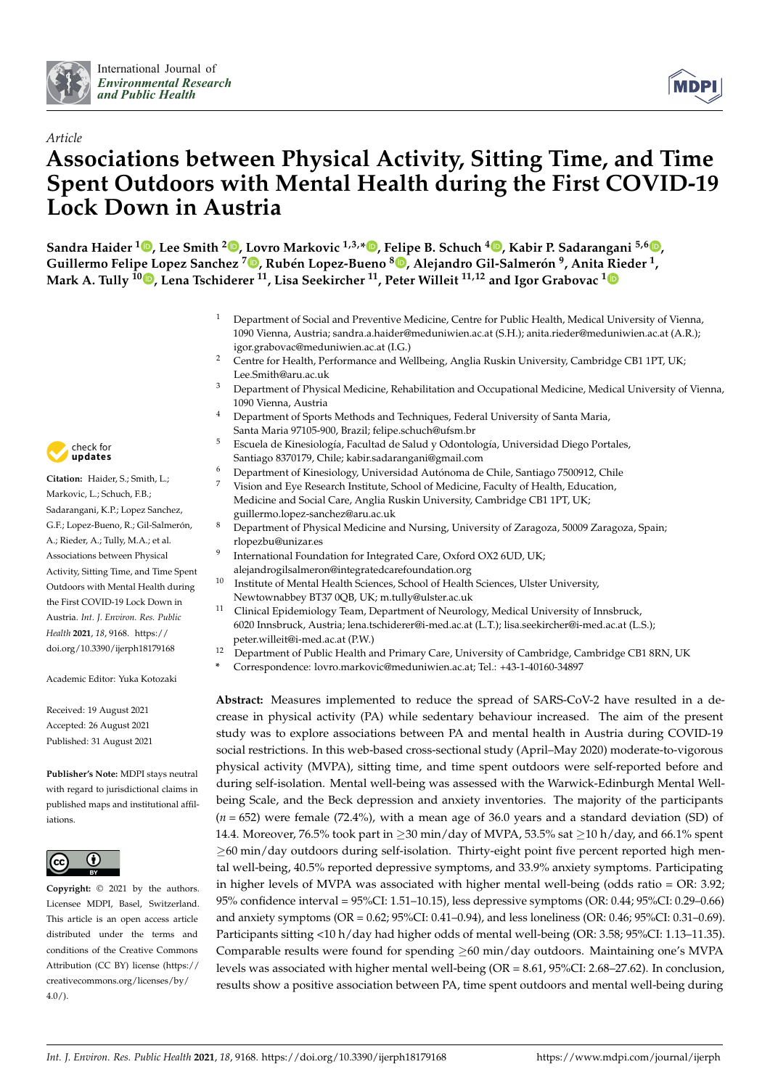



# *Article* **Associations between Physical Activity, Sitting Time, and Time Spent Outdoors with Mental Health during the First COVID-19 Lock Down in Austria**

**Sandra Haider <sup>1</sup> [,](https://orcid.org/0000-0002-3612-7332) Lee Smith <sup>2</sup> [,](https://orcid.org/0000-0002-5340-9833) Lovro Markovic 1,3,[\\*](https://orcid.org/0000-0003-2055-7538) , Felipe B. Schuch [4](https://orcid.org/0000-0002-5190-4515) , Kabir P. Sadarangani 5,6 [,](https://orcid.org/0000-0002-3757-3799) Guillermo Felipe Lopez Sanchez [7](https://orcid.org/0000-0002-9897-5273) , Rubén Lopez-Bueno <sup>8</sup> [,](https://orcid.org/0000-0002-7865-3429) Alejandro Gil-Salmerón 9 , Anita [Ri](https://orcid.org/0000-0001-9605-1467)eder <sup>1</sup> , Mark A. Tully <sup>10</sup> [,](https://orcid.org/0000-0001-9710-4014) Lena Tschiderer <sup>11</sup>, Lisa Seekircher <sup>11</sup>, Peter Willeit 11,12 and Igor Grabovac <sup>1</sup>**

- <sup>1</sup> Department of Social and Preventive Medicine, Centre for Public Health, Medical University of Vienna, 1090 Vienna, Austria; sandra.a.haider@meduniwien.ac.at (S.H.); anita.rieder@meduniwien.ac.at (A.R.); igor.grabovac@meduniwien.ac.at (I.G.)
- <sup>2</sup> Centre for Health, Performance and Wellbeing, Anglia Ruskin University, Cambridge CB1 1PT, UK; Lee.Smith@aru.ac.uk
- <sup>3</sup> Department of Physical Medicine, Rehabilitation and Occupational Medicine, Medical University of Vienna, 1090 Vienna, Austria
- <sup>4</sup> Department of Sports Methods and Techniques, Federal University of Santa Maria, Santa Maria 97105-900, Brazil; felipe.schuch@ufsm.br
- <sup>5</sup> Escuela de Kinesiología, Facultad de Salud y Odontología, Universidad Diego Portales, Santiago 8370179, Chile; kabir.sadarangani@gmail.com
- <sup>6</sup> Department of Kinesiology, Universidad Autónoma de Chile, Santiago 7500912, Chile
- Vision and Eye Research Institute, School of Medicine, Faculty of Health, Education, Medicine and Social Care, Anglia Ruskin University, Cambridge CB1 1PT, UK; guillermo.lopez-sanchez@aru.ac.uk
- <sup>8</sup> Department of Physical Medicine and Nursing, University of Zaragoza, 50009 Zaragoza, Spain; rlopezbu@unizar.es  $\ddot{9}$
- International Foundation for Integrated Care, Oxford OX2 6UD, UK;
- alejandrogilsalmeron@integratedcarefoundation.org
- <sup>10</sup> Institute of Mental Health Sciences, School of Health Sciences, Ulster University, Newtownabbey BT37 0QB, UK; m.tully@ulster.ac.uk
- <sup>11</sup> Clinical Epidemiology Team, Department of Neurology, Medical University of Innsbruck, 6020 Innsbruck, Austria; lena.tschiderer@i-med.ac.at (L.T.); lisa.seekircher@i-med.ac.at (L.S.); peter.willeit@i-med.ac.at (P.W.)
- <sup>12</sup> Department of Public Health and Primary Care, University of Cambridge, Cambridge CB1 8RN, UK
- **\*** Correspondence: lovro.markovic@meduniwien.ac.at; Tel.: +43-1-40160-34897

**Abstract:** Measures implemented to reduce the spread of SARS-CoV-2 have resulted in a decrease in physical activity (PA) while sedentary behaviour increased. The aim of the present study was to explore associations between PA and mental health in Austria during COVID-19 social restrictions. In this web-based cross-sectional study (April–May 2020) moderate-to-vigorous physical activity (MVPA), sitting time, and time spent outdoors were self-reported before and during self-isolation. Mental well-being was assessed with the Warwick-Edinburgh Mental Wellbeing Scale, and the Beck depression and anxiety inventories. The majority of the participants (*n* = 652) were female (72.4%), with a mean age of 36.0 years and a standard deviation (SD) of 14.4. Moreover, 76.5% took part in  $\geq$ 30 min/day of MVPA, 53.5% sat  $\geq$ 10 h/day, and 66.1% spent ≥60 min/day outdoors during self-isolation. Thirty-eight point five percent reported high mental well-being, 40.5% reported depressive symptoms, and 33.9% anxiety symptoms. Participating in higher levels of MVPA was associated with higher mental well-being (odds ratio = OR: 3.92; 95% confidence interval = 95%CI: 1.51–10.15), less depressive symptoms (OR: 0.44; 95%CI: 0.29–0.66) and anxiety symptoms (OR = 0.62; 95%CI: 0.41–0.94), and less loneliness (OR: 0.46; 95%CI: 0.31–0.69). Participants sitting <10 h/day had higher odds of mental well-being (OR: 3.58; 95%CI: 1.13–11.35). Comparable results were found for spending  $\geq 60$  min/day outdoors. Maintaining one's MVPA levels was associated with higher mental well-being (OR = 8.61, 95%CI: 2.68–27.62). In conclusion, results show a positive association between PA, time spent outdoors and mental well-being during



**Citation:** Haider, S.; Smith, L.; Markovic, L.; Schuch, F.B.; Sadarangani, K.P.; Lopez Sanchez, G.F.; Lopez-Bueno, R.; Gil-Salmerón, A.; Rieder, A.; Tully, M.A.; et al. Associations between Physical Activity, Sitting Time, and Time Spent Outdoors with Mental Health during the First COVID-19 Lock Down in Austria. *Int. J. Environ. Res. Public Health* **2021**, *18*, 9168. [https://](https://doi.org/10.3390/ijerph18179168) [doi.org/10.3390/ijerph18179168](https://doi.org/10.3390/ijerph18179168)

Academic Editor: Yuka Kotozaki

Received: 19 August 2021 Accepted: 26 August 2021 Published: 31 August 2021

**Publisher's Note:** MDPI stays neutral with regard to jurisdictional claims in published maps and institutional affiliations.



**Copyright:** © 2021 by the authors. Licensee MDPI, Basel, Switzerland. This article is an open access article distributed under the terms and conditions of the Creative Commons Attribution (CC BY) license (https:/[/](https://creativecommons.org/licenses/by/4.0/) [creativecommons.org/licenses/by/](https://creativecommons.org/licenses/by/4.0/) 4.0/).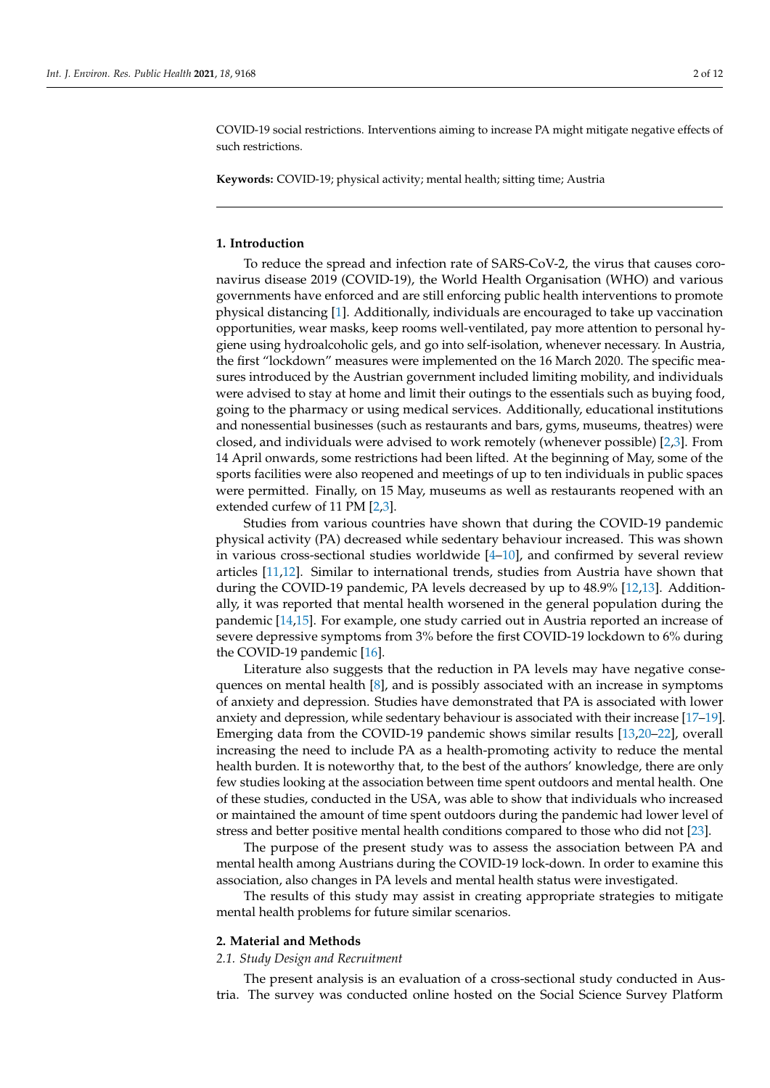COVID-19 social restrictions. Interventions aiming to increase PA might mitigate negative effects of such restrictions.

**Keywords:** COVID-19; physical activity; mental health; sitting time; Austria

### **1. Introduction**

To reduce the spread and infection rate of SARS-CoV-2, the virus that causes coronavirus disease 2019 (COVID-19), the World Health Organisation (WHO) and various governments have enforced and are still enforcing public health interventions to promote physical distancing [\[1\]](#page-9-0). Additionally, individuals are encouraged to take up vaccination opportunities, wear masks, keep rooms well-ventilated, pay more attention to personal hygiene using hydroalcoholic gels, and go into self-isolation, whenever necessary. In Austria, the first "lockdown" measures were implemented on the 16 March 2020. The specific measures introduced by the Austrian government included limiting mobility, and individuals were advised to stay at home and limit their outings to the essentials such as buying food, going to the pharmacy or using medical services. Additionally, educational institutions and nonessential businesses (such as restaurants and bars, gyms, museums, theatres) were closed, and individuals were advised to work remotely (whenever possible) [\[2,](#page-9-1)[3\]](#page-9-2). From 14 April onwards, some restrictions had been lifted. At the beginning of May, some of the sports facilities were also reopened and meetings of up to ten individuals in public spaces were permitted. Finally, on 15 May, museums as well as restaurants reopened with an extended curfew of 11 PM [\[2,](#page-9-1)[3\]](#page-9-2).

Studies from various countries have shown that during the COVID-19 pandemic physical activity (PA) decreased while sedentary behaviour increased. This was shown in various cross-sectional studies worldwide  $[4-10]$  $[4-10]$ , and confirmed by several review articles [\[11,](#page-9-5)[12\]](#page-9-6). Similar to international trends, studies from Austria have shown that during the COVID-19 pandemic, PA levels decreased by up to 48.9% [\[12](#page-9-6)[,13\]](#page-9-7). Additionally, it was reported that mental health worsened in the general population during the pandemic [\[14](#page-9-8)[,15\]](#page-9-9). For example, one study carried out in Austria reported an increase of severe depressive symptoms from 3% before the first COVID-19 lockdown to 6% during the COVID-19 pandemic [\[16\]](#page-9-10).

Literature also suggests that the reduction in PA levels may have negative consequences on mental health [\[8\]](#page-9-11), and is possibly associated with an increase in symptoms of anxiety and depression. Studies have demonstrated that PA is associated with lower anxiety and depression, while sedentary behaviour is associated with their increase [\[17](#page-9-12)[–19\]](#page-9-13). Emerging data from the COVID-19 pandemic shows similar results [\[13,](#page-9-7)[20–](#page-9-14)[22\]](#page-10-0), overall increasing the need to include PA as a health-promoting activity to reduce the mental health burden. It is noteworthy that, to the best of the authors' knowledge, there are only few studies looking at the association between time spent outdoors and mental health. One of these studies, conducted in the USA, was able to show that individuals who increased or maintained the amount of time spent outdoors during the pandemic had lower level of stress and better positive mental health conditions compared to those who did not [\[23\]](#page-10-1).

The purpose of the present study was to assess the association between PA and mental health among Austrians during the COVID-19 lock-down. In order to examine this association, also changes in PA levels and mental health status were investigated.

The results of this study may assist in creating appropriate strategies to mitigate mental health problems for future similar scenarios.

#### **2. Material and Methods**

#### *2.1. Study Design and Recruitment*

The present analysis is an evaluation of a cross-sectional study conducted in Austria. The survey was conducted online hosted on the Social Science Survey Platform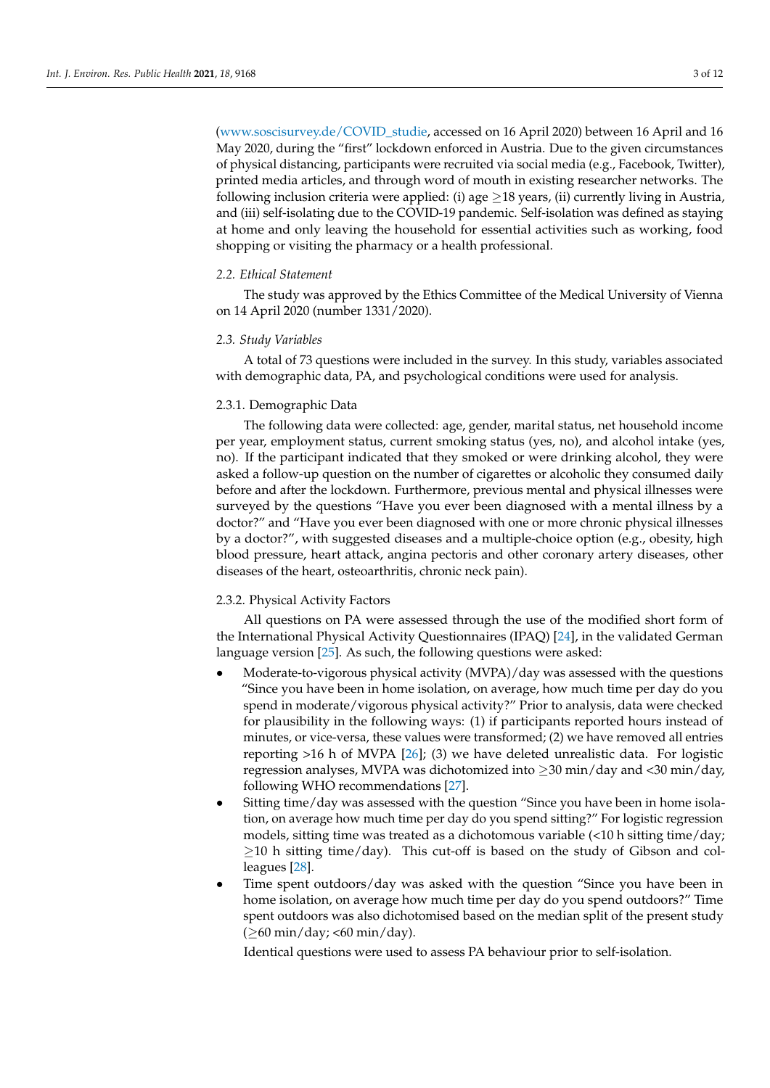[\(www.soscisurvey.de/COVID\\_studie,](www.soscisurvey.de/COVID_studie) accessed on 16 April 2020) between 16 April and 16 May 2020, during the "first" lockdown enforced in Austria. Due to the given circumstances of physical distancing, participants were recruited via social media (e.g., Facebook, Twitter), printed media articles, and through word of mouth in existing researcher networks. The following inclusion criteria were applied: (i) age  $\geq$ 18 years, (ii) currently living in Austria, and (iii) self-isolating due to the COVID-19 pandemic. Self-isolation was defined as staying at home and only leaving the household for essential activities such as working, food shopping or visiting the pharmacy or a health professional.

## *2.2. Ethical Statement*

The study was approved by the Ethics Committee of the Medical University of Vienna on 14 April 2020 (number 1331/2020).

#### *2.3. Study Variables*

A total of 73 questions were included in the survey. In this study, variables associated with demographic data, PA, and psychological conditions were used for analysis.

## 2.3.1. Demographic Data

The following data were collected: age, gender, marital status, net household income per year, employment status, current smoking status (yes, no), and alcohol intake (yes, no). If the participant indicated that they smoked or were drinking alcohol, they were asked a follow-up question on the number of cigarettes or alcoholic they consumed daily before and after the lockdown. Furthermore, previous mental and physical illnesses were surveyed by the questions "Have you ever been diagnosed with a mental illness by a doctor?" and "Have you ever been diagnosed with one or more chronic physical illnesses by a doctor?", with suggested diseases and a multiple-choice option (e.g., obesity, high blood pressure, heart attack, angina pectoris and other coronary artery diseases, other diseases of the heart, osteoarthritis, chronic neck pain).

#### 2.3.2. Physical Activity Factors

All questions on PA were assessed through the use of the modified short form of the International Physical Activity Questionnaires (IPAQ) [\[24\]](#page-10-2), in the validated German language version [\[25\]](#page-10-3). As such, the following questions were asked:

- Moderate-to-vigorous physical activity (MVPA)/day was assessed with the questions "Since you have been in home isolation, on average, how much time per day do you spend in moderate/vigorous physical activity?" Prior to analysis, data were checked for plausibility in the following ways: (1) if participants reported hours instead of minutes, or vice-versa, these values were transformed; (2) we have removed all entries reporting >16 h of MVPA [\[26\]](#page-10-4); (3) we have deleted unrealistic data. For logistic regression analyses, MVPA was dichotomized into  $\geq$ 30 min/day and <30 min/day, following WHO recommendations [\[27\]](#page-10-5).
- Sitting time/day was assessed with the question "Since you have been in home isolation, on average how much time per day do you spend sitting?" For logistic regression models, sitting time was treated as a dichotomous variable (<10 h sitting time/day;  $\geq$ 10 h sitting time/day). This cut-off is based on the study of Gibson and colleagues [\[28\]](#page-10-6).
- Time spent outdoors/day was asked with the question "Since you have been in home isolation, on average how much time per day do you spend outdoors?" Time spent outdoors was also dichotomised based on the median split of the present study (≥60 min/day; <60 min/day).

Identical questions were used to assess PA behaviour prior to self-isolation.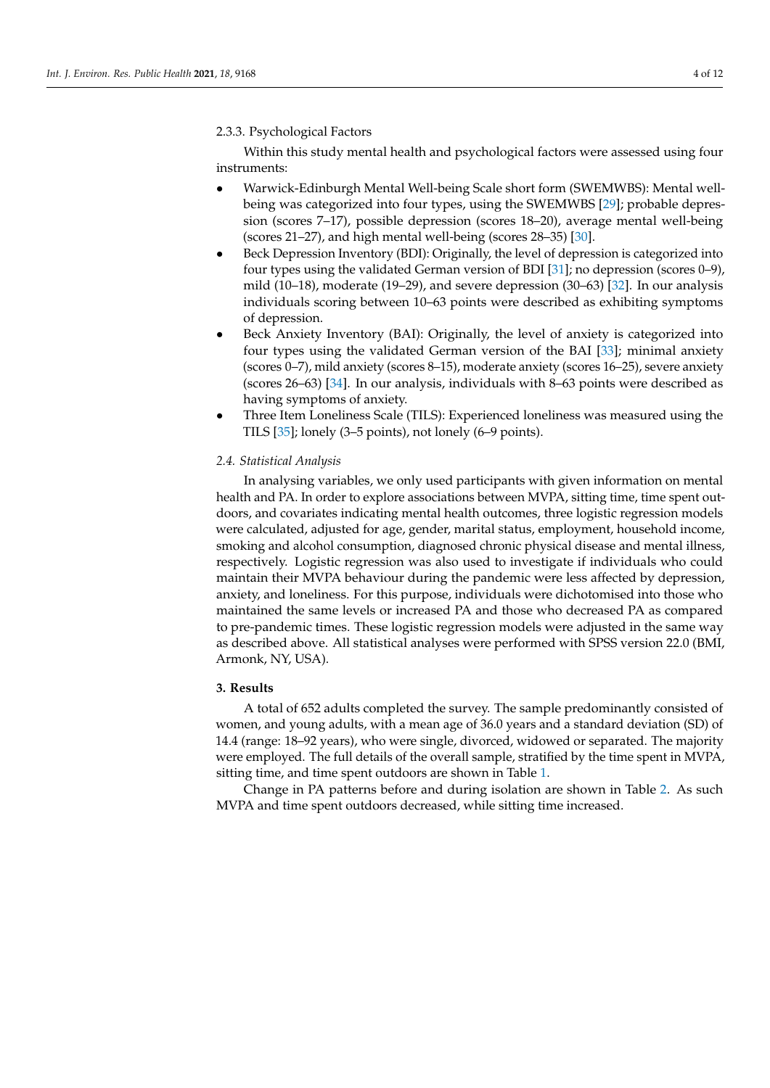## 2.3.3. Psychological Factors

Within this study mental health and psychological factors were assessed using four instruments:

- Warwick-Edinburgh Mental Well-being Scale short form (SWEMWBS): Mental wellbeing was categorized into four types, using the SWEMWBS [\[29\]](#page-10-7); probable depression (scores 7–17), possible depression (scores 18–20), average mental well-being (scores 21–27), and high mental well-being (scores 28–35) [\[30\]](#page-10-8).
- Beck Depression Inventory (BDI): Originally, the level of depression is categorized into four types using the validated German version of BDI [\[31\]](#page-10-9); no depression (scores 0–9), mild (10–18), moderate (19–29), and severe depression (30–63) [\[32\]](#page-10-10). In our analysis individuals scoring between 10–63 points were described as exhibiting symptoms of depression.
- Beck Anxiety Inventory (BAI): Originally, the level of anxiety is categorized into four types using the validated German version of the BAI [\[33\]](#page-10-11); minimal anxiety (scores 0–7), mild anxiety (scores 8–15), moderate anxiety (scores 16–25), severe anxiety (scores 26–63) [\[34\]](#page-10-12). In our analysis, individuals with 8–63 points were described as having symptoms of anxiety.
- Three Item Loneliness Scale (TILS): Experienced loneliness was measured using the TILS [\[35\]](#page-10-13); lonely (3–5 points), not lonely (6–9 points).

## *2.4. Statistical Analysis*

In analysing variables, we only used participants with given information on mental health and PA. In order to explore associations between MVPA, sitting time, time spent outdoors, and covariates indicating mental health outcomes, three logistic regression models were calculated, adjusted for age, gender, marital status, employment, household income, smoking and alcohol consumption, diagnosed chronic physical disease and mental illness, respectively. Logistic regression was also used to investigate if individuals who could maintain their MVPA behaviour during the pandemic were less affected by depression, anxiety, and loneliness. For this purpose, individuals were dichotomised into those who maintained the same levels or increased PA and those who decreased PA as compared to pre-pandemic times. These logistic regression models were adjusted in the same way as described above. All statistical analyses were performed with SPSS version 22.0 (BMI, Armonk, NY, USA).

## **3. Results**

A total of 652 adults completed the survey. The sample predominantly consisted of women, and young adults, with a mean age of 36.0 years and a standard deviation (SD) of 14.4 (range: 18–92 years), who were single, divorced, widowed or separated. The majority were employed. The full details of the overall sample, stratified by the time spent in MVPA, sitting time, and time spent outdoors are shown in Table [1.](#page-4-0)

Change in PA patterns before and during isolation are shown in Table [2.](#page-4-1) As such MVPA and time spent outdoors decreased, while sitting time increased.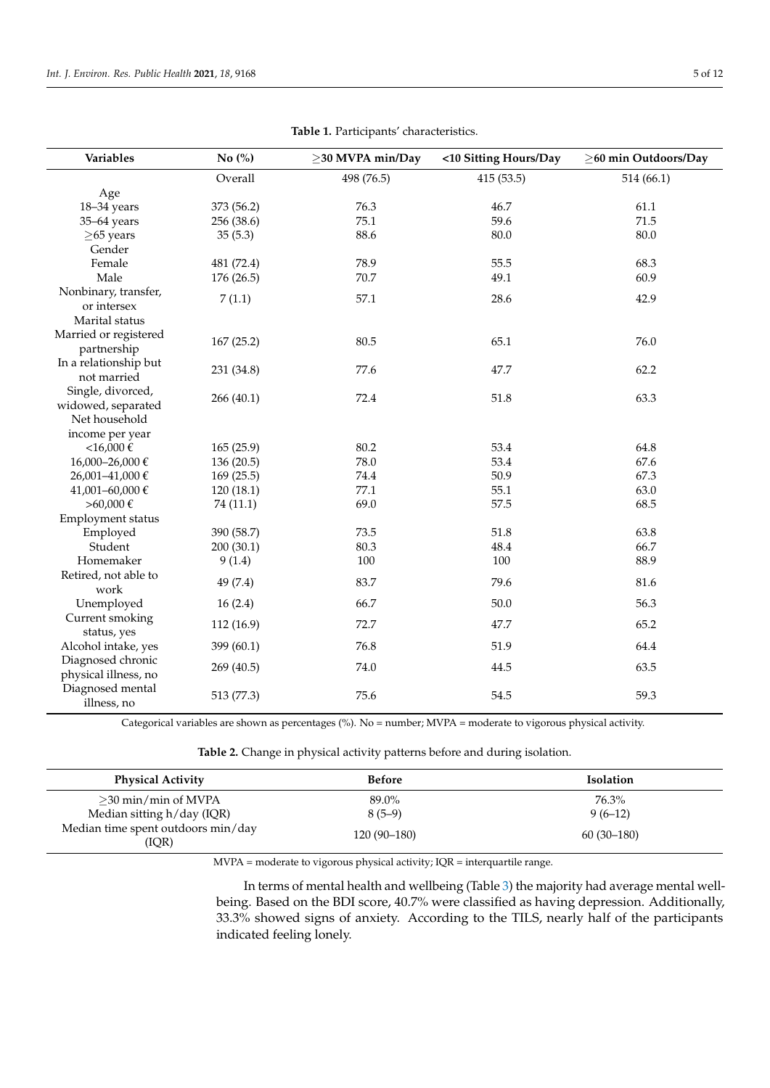<span id="page-4-0"></span>

| Variables             | No $\left(\% \right)$ | $\geq$ 30 MVPA min/Day | <10 Sitting Hours/Day | $\geq$ 60 min Outdoors/Day |  |  |
|-----------------------|-----------------------|------------------------|-----------------------|----------------------------|--|--|
|                       | Overall               | 498 (76.5)             | 415 (53.5)            | 514 (66.1)                 |  |  |
| Age                   |                       |                        |                       |                            |  |  |
| 18-34 years           | 373 (56.2)            | 76.3                   | 46.7                  | 61.1                       |  |  |
| 35-64 years           | 256 (38.6)            | 75.1                   | 59.6                  | 71.5                       |  |  |
| $\geq$ 65 years       | 35(5.3)               | 88.6                   | 80.0                  | 80.0                       |  |  |
| Gender                |                       |                        |                       |                            |  |  |
| Female                | 481 (72.4)            | 78.9                   | 55.5                  | 68.3                       |  |  |
| Male                  | 176 (26.5)            | 70.7                   | 49.1                  | 60.9                       |  |  |
| Nonbinary, transfer,  | 7(1.1)                | 57.1                   | 28.6                  | 42.9                       |  |  |
| or intersex           |                       |                        |                       |                            |  |  |
| Marital status        |                       |                        |                       |                            |  |  |
| Married or registered | 167(25.2)             | 80.5                   | 65.1                  | 76.0                       |  |  |
| partnership           |                       |                        |                       |                            |  |  |
| In a relationship but | 231 (34.8)            | 77.6                   | 47.7                  | 62.2                       |  |  |
| not married           |                       |                        |                       |                            |  |  |
| Single, divorced,     | 266 (40.1)            | 72.4                   | 51.8                  | 63.3                       |  |  |
| widowed, separated    |                       |                        |                       |                            |  |  |
| Net household         |                       |                        |                       |                            |  |  |
| income per year       |                       |                        |                       |                            |  |  |
| $<16,000$ €           | 165(25.9)             | 80.2                   | 53.4                  | 64.8                       |  |  |
| 16,000-26,000€        | 136 (20.5)            | 78.0                   | 53.4                  | 67.6                       |  |  |
| 26,001-41,000€        | 169(25.5)             | 74.4                   | 50.9                  | 67.3                       |  |  |
| 41,001-60,000€        | 120 (18.1)            | 77.1                   | 55.1                  | 63.0                       |  |  |
| >60,000 €             | 74 (11.1)             | 69.0                   | 57.5                  | 68.5                       |  |  |
| Employment status     |                       |                        |                       |                            |  |  |
| Employed              | 390 (58.7)            | 73.5                   | 51.8                  | 63.8                       |  |  |
| Student               | 200 (30.1)            | 80.3                   | 48.4                  | 66.7                       |  |  |
| Homemaker             | 9(1.4)                | 100                    | 100                   | 88.9                       |  |  |
| Retired, not able to  | 49 (7.4)              | 83.7                   | 79.6                  | 81.6                       |  |  |
| work                  |                       |                        |                       |                            |  |  |
| Unemployed            | 16(2.4)               | 66.7                   | 50.0                  | 56.3                       |  |  |
| Current smoking       | 112 (16.9)            | 72.7                   | 47.7                  | 65.2                       |  |  |
| status, yes           |                       |                        |                       |                            |  |  |
| Alcohol intake, yes   | 399 (60.1)            | 76.8                   | 51.9                  | 64.4                       |  |  |
| Diagnosed chronic     | 269 (40.5)            | 74.0                   | 44.5                  | 63.5                       |  |  |
| physical illness, no  |                       |                        |                       |                            |  |  |
| Diagnosed mental      | 513 (77.3)            | 75.6                   | 54.5                  | 59.3                       |  |  |
| illness, no           |                       |                        |                       |                            |  |  |

**Table 1.** Participants' characteristics.

Categorical variables are shown as percentages (%). No = number; MVPA = moderate to vigorous physical activity.

**Table 2.** Change in physical activity patterns before and during isolation.

<span id="page-4-1"></span>

| <b>Physical Activity</b>                    | Before       | <b>Isolation</b> |
|---------------------------------------------|--------------|------------------|
| $>$ 30 min/min of MVPA                      | 89.0%        | 76.3%            |
| Median sitting h/day (IQR)                  | $8(5-9)$     | $9(6-12)$        |
| Median time spent outdoors min/day<br>(IQR) | 120 (90–180) | $60(30-180)$     |

MVPA = moderate to vigorous physical activity; IQR = interquartile range.

In terms of mental health and wellbeing (Table [3\)](#page-5-0) the majority had average mental wellbeing. Based on the BDI score, 40.7% were classified as having depression. Additionally, 33.3% showed signs of anxiety. According to the TILS, nearly half of the participants indicated feeling lonely.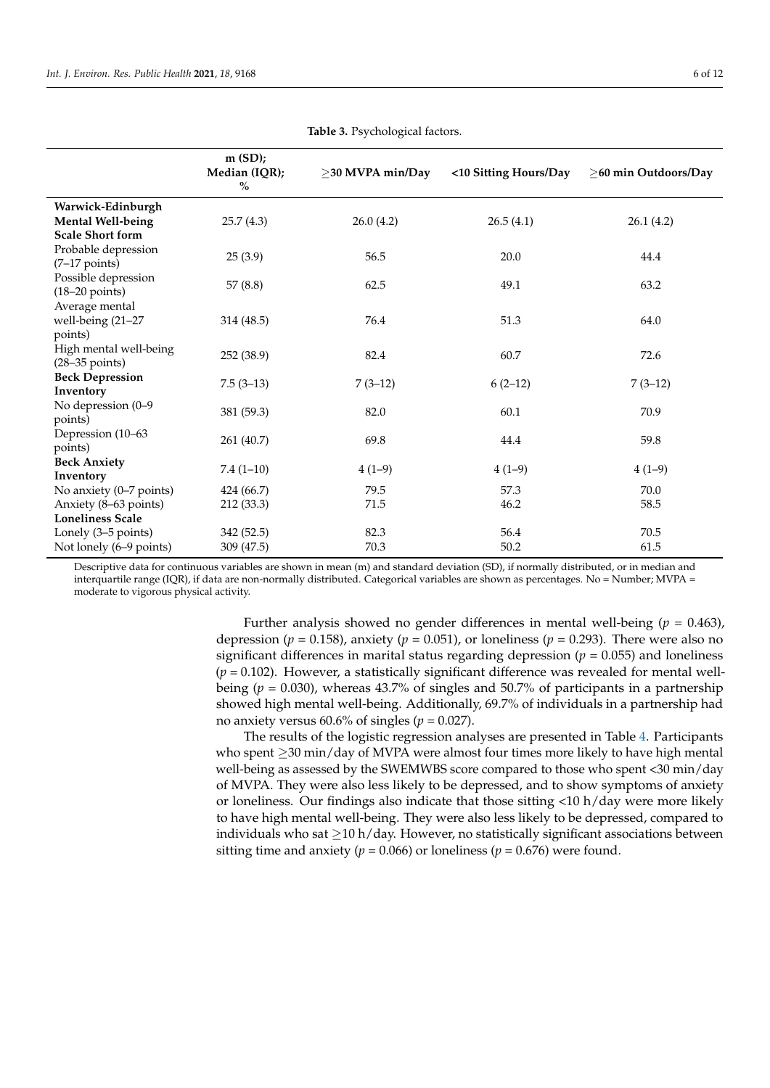<span id="page-5-0"></span>

|                               | m(SD);<br>Median (IQR);<br>$\%$ | $\geq$ 30 MVPA min/Day | <10 Sitting Hours/Day | $\geq$ 60 min Outdoors/Day |
|-------------------------------|---------------------------------|------------------------|-----------------------|----------------------------|
| Warwick-Edinburgh             |                                 |                        |                       |                            |
| Mental Well-being             | 25.7(4.3)                       | 26.0(4.2)              | 26.5(4.1)             | 26.1(4.2)                  |
| <b>Scale Short form</b>       |                                 |                        |                       |                            |
| Probable depression           | 25(3.9)                         | 56.5                   | 20.0                  | 44.4                       |
| $(7-17$ points)               |                                 |                        |                       |                            |
| Possible depression           | 57(8.8)                         | 62.5                   | 49.1                  | 63.2                       |
| $(18-20 \text{ points})$      |                                 |                        |                       |                            |
| Average mental                |                                 |                        |                       |                            |
| well-being (21-27             | 314 (48.5)                      | 76.4                   | 51.3                  | 64.0                       |
| points)                       |                                 |                        |                       |                            |
| High mental well-being        | 252 (38.9)                      | 82.4                   | 60.7                  | 72.6                       |
| $(28-35 \text{ points})$      |                                 |                        |                       |                            |
| <b>Beck Depression</b>        | $7.5(3-13)$                     | $7(3-12)$              | $6(2-12)$             | $7(3-12)$                  |
| Inventory                     |                                 |                        |                       |                            |
| No depression (0-9<br>points) | 381 (59.3)                      | 82.0                   | 60.1                  | 70.9                       |
| Depression (10-63             |                                 |                        |                       |                            |
| points)                       | 261 (40.7)                      | 69.8                   | 44.4                  | 59.8                       |
| <b>Beck Anxiety</b>           |                                 |                        |                       |                            |
| Inventory                     | $7.4(1-10)$                     | $4(1-9)$               | $4(1-9)$              | $4(1-9)$                   |
| No anxiety (0-7 points)       | 424 (66.7)                      | 79.5                   | 57.3                  | 70.0                       |
| Anxiety (8-63 points)         | 212(33.3)                       | 71.5                   | 46.2                  | 58.5                       |
| <b>Loneliness Scale</b>       |                                 |                        |                       |                            |
| Lonely (3–5 points)           | 342 (52.5)                      | 82.3                   | 56.4                  | 70.5                       |
| Not lonely (6–9 points)       | 309 (47.5)                      | 70.3                   | $50.2\,$              | 61.5                       |

Descriptive data for continuous variables are shown in mean (m) and standard deviation (SD), if normally distributed, or in median and interquartile range (IQR), if data are non-normally distributed. Categorical variables are shown as percentages. No = Number; MVPA = moderate to vigorous physical activity.

> Further analysis showed no gender differences in mental well-being ( $p = 0.463$ ), depression ( $p = 0.158$ ), anxiety ( $p = 0.051$ ), or loneliness ( $p = 0.293$ ). There were also no significant differences in marital status regarding depression ( $p = 0.055$ ) and loneliness  $(p = 0.102)$ . However, a statistically significant difference was revealed for mental wellbeing ( $p = 0.030$ ), whereas 43.7% of singles and 50.7% of participants in a partnership showed high mental well-being. Additionally, 69.7% of individuals in a partnership had no anxiety versus  $60.6\%$  of singles ( $p = 0.027$ ).

> The results of the logistic regression analyses are presented in Table [4.](#page-6-0) Participants who spent ≥30 min/day of MVPA were almost four times more likely to have high mental well-being as assessed by the SWEMWBS score compared to those who spent <30 min/day of MVPA. They were also less likely to be depressed, and to show symptoms of anxiety or loneliness. Our findings also indicate that those sitting <10 h/day were more likely to have high mental well-being. They were also less likely to be depressed, compared to individuals who sat  $\geq$ 10 h/day. However, no statistically significant associations between sitting time and anxiety ( $p = 0.066$ ) or loneliness ( $p = 0.676$ ) were found.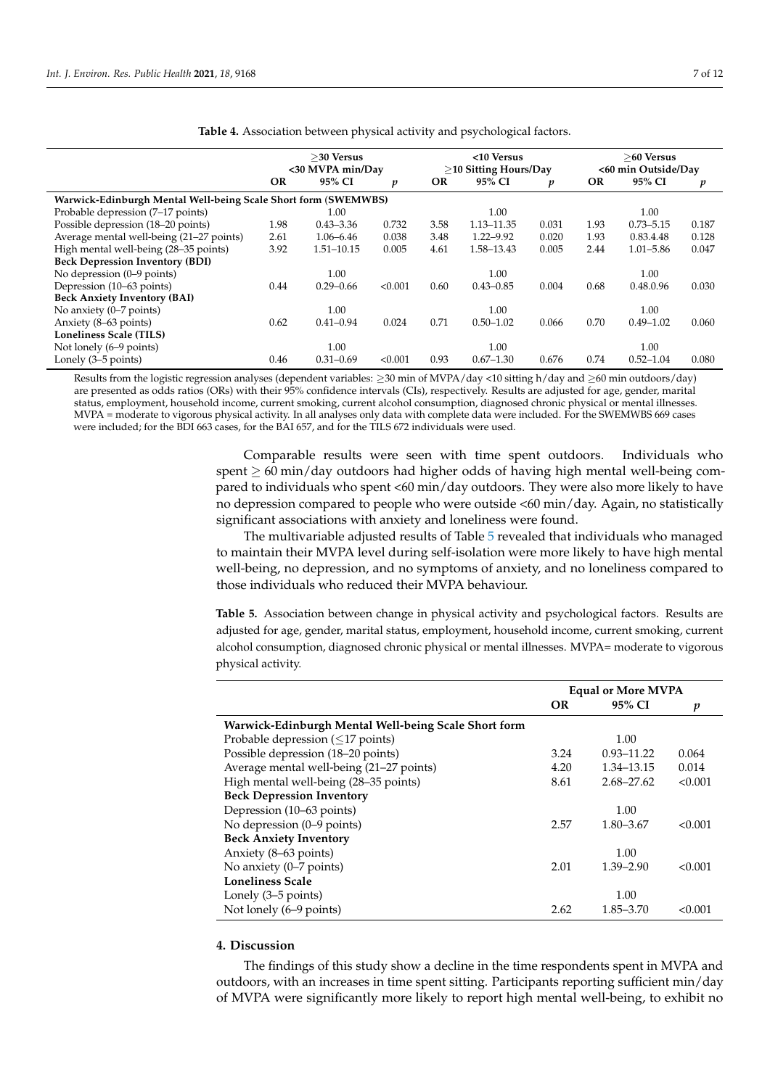<span id="page-6-0"></span>

|                                                                |                  | $>$ 30 Versus  |                             |           | <10 Versus    |                     |      | $>60$ Versus  |                  |
|----------------------------------------------------------------|------------------|----------------|-----------------------------|-----------|---------------|---------------------|------|---------------|------------------|
|                                                                | <30 MVPA min/Day |                | $\geq$ 10 Sitting Hours/Day |           |               | <60 min Outside/Day |      |               |                  |
|                                                                | OR               | 95% CI         | p                           | <b>OR</b> | 95% CI        | p                   | OR   | 95% CI        | $\boldsymbol{p}$ |
| Warwick-Edinburgh Mental Well-being Scale Short form (SWEMWBS) |                  |                |                             |           |               |                     |      |               |                  |
| Probable depression (7–17 points)                              |                  | 1.00           |                             |           | 1.00          |                     |      | 1.00          |                  |
| Possible depression (18–20 points)                             | 1.98             | $0.43 - 3.36$  | 0.732                       | 3.58      | 1.13-11.35    | 0.031               | 1.93 | $0.73 - 5.15$ | 0.187            |
| Average mental well-being (21-27 points)                       | 2.61             | 1.06–6.46      | 0.038                       | 3.48      | $1.22 - 9.92$ | 0.020               | 1.93 | 0.83.4.48     | 0.128            |
| High mental well-being (28–35 points)                          | 3.92             | $1.51 - 10.15$ | 0.005                       | 4.61      | 1.58-13.43    | 0.005               | 2.44 | $1.01 - 5.86$ | 0.047            |
| <b>Beck Depression Inventory (BDI)</b>                         |                  |                |                             |           |               |                     |      |               |                  |
| No depression $(0-9$ points)                                   |                  | 1.00           |                             |           | 1.00          |                     |      | 1.00          |                  |
| Depression (10–63 points)                                      | 0.44             | $0.29 - 0.66$  | < 0.001                     | 0.60      | $0.43 - 0.85$ | 0.004               | 0.68 | 0.48.0.96     | 0.030            |
| <b>Beck Anxiety Inventory (BAI)</b>                            |                  |                |                             |           |               |                     |      |               |                  |
| No anxiety (0–7 points)                                        |                  | 1.00           |                             |           | 1.00          |                     |      | 1.00          |                  |
| Anxiety (8–63 points)                                          | 0.62             | $0.41 - 0.94$  | 0.024                       | 0.71      | $0.50 - 1.02$ | 0.066               | 0.70 | $0.49 - 1.02$ | 0.060            |
| Loneliness Scale (TILS)                                        |                  |                |                             |           |               |                     |      |               |                  |
| Not lonely (6–9 points)                                        |                  | 1.00           |                             |           | 1.00          |                     |      | 1.00          |                  |
| Lonely (3-5 points)                                            | 0.46             | $0.31 - 0.69$  | < 0.001                     | 0.93      | $0.67 - 1.30$ | 0.676               | 0.74 | $0.52 - 1.04$ | 0.080            |
|                                                                |                  |                |                             |           |               |                     |      |               |                  |

**Table 4.** Association between physical activity and psychological factors.

Results from the logistic regression analyses (dependent variables: ≥30 min of MVPA/day <10 sitting h/day and ≥60 min outdoors/day) are presented as odds ratios (ORs) with their 95% confidence intervals (CIs), respectively. Results are adjusted for age, gender, marital status, employment, household income, current smoking, current alcohol consumption, diagnosed chronic physical or mental illnesses. MVPA = moderate to vigorous physical activity. In all analyses only data with complete data were included. For the SWEMWBS 669 cases were included; for the BDI 663 cases, for the BAI 657, and for the TILS 672 individuals were used.

> Comparable results were seen with time spent outdoors. Individuals who spent  $\geq 60$  min/day outdoors had higher odds of having high mental well-being compared to individuals who spent <60 min/day outdoors. They were also more likely to have no depression compared to people who were outside <60 min/day. Again, no statistically significant associations with anxiety and loneliness were found.

> The multivariable adjusted results of Table [5](#page-6-1) revealed that individuals who managed to maintain their MVPA level during self-isolation were more likely to have high mental well-being, no depression, and no symptoms of anxiety, and no loneliness compared to those individuals who reduced their MVPA behaviour.

> <span id="page-6-1"></span>**Table 5.** Association between change in physical activity and psychological factors. Results are adjusted for age, gender, marital status, employment, household income, current smoking, current alcohol consumption, diagnosed chronic physical or mental illnesses. MVPA= moderate to vigorous physical activity.

|                                                      | <b>Equal or More MVPA</b> |                |         |  |
|------------------------------------------------------|---------------------------|----------------|---------|--|
|                                                      | OR                        | 95% CI         | p       |  |
| Warwick-Edinburgh Mental Well-being Scale Short form |                           |                |         |  |
| Probable depression $(\leq 17 \text{ points})$       |                           | 1.00           |         |  |
| Possible depression (18–20 points)                   | 3.24                      | $0.93 - 11.22$ | 0.064   |  |
| Average mental well-being (21–27 points)             | 4.20                      | 1.34-13.15     | 0.014   |  |
| High mental well-being (28-35 points)                | 8.61                      | 2.68-27.62     | < 0.001 |  |
| <b>Beck Depression Inventory</b>                     |                           |                |         |  |
| Depression (10-63 points)                            |                           | 1.00           |         |  |
| No depression (0–9 points)                           | 2.57                      | $1.80 - 3.67$  | < 0.001 |  |
| <b>Beck Anxiety Inventory</b>                        |                           |                |         |  |
| Anxiety (8–63 points)                                |                           | 1.00           |         |  |
| No anxiety (0–7 points)                              | 2.01                      | $1,39 - 2,90$  | < 0.001 |  |
| <b>Loneliness Scale</b>                              |                           |                |         |  |
| Lonely (3–5 points)                                  |                           | 1.00           |         |  |
| Not lonely (6-9 points)                              | 2.62                      | $1.85 - 3.70$  | < 0.001 |  |

#### **4. Discussion**

The findings of this study show a decline in the time respondents spent in MVPA and outdoors, with an increases in time spent sitting. Participants reporting sufficient min/day of MVPA were significantly more likely to report high mental well-being, to exhibit no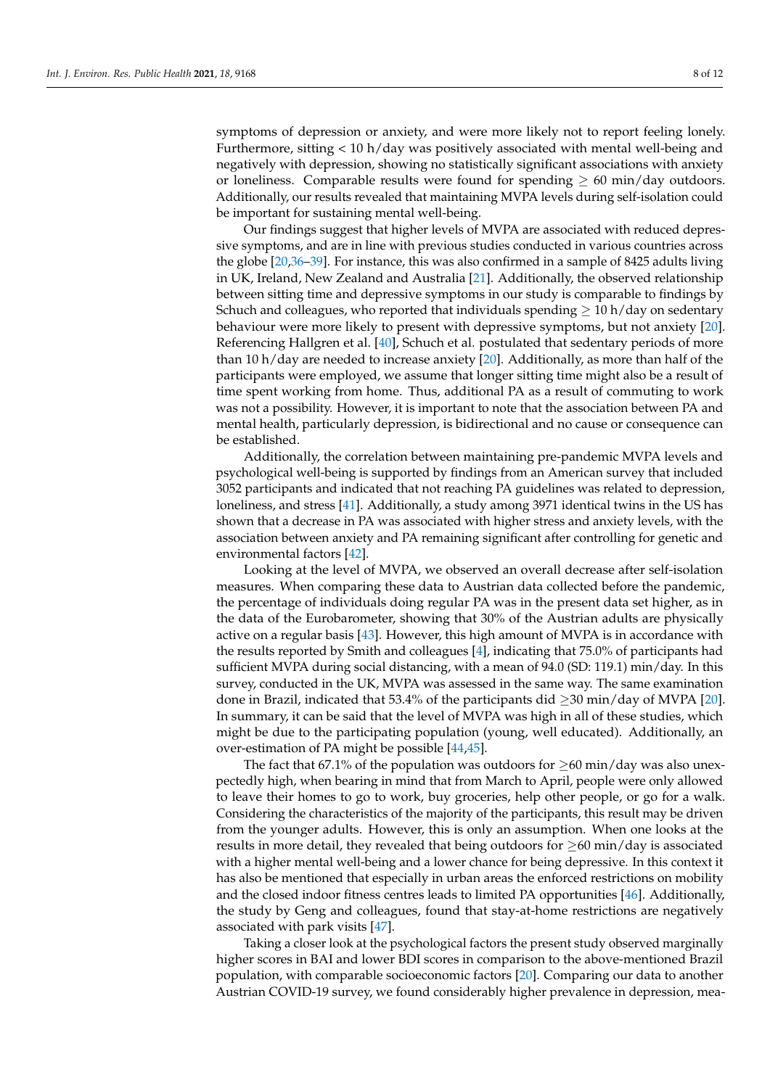symptoms of depression or anxiety, and were more likely not to report feeling lonely. Furthermore, sitting < 10 h/day was positively associated with mental well-being and negatively with depression, showing no statistically significant associations with anxiety or loneliness. Comparable results were found for spending  $\geq 60$  min/day outdoors. Additionally, our results revealed that maintaining MVPA levels during self-isolation could be important for sustaining mental well-being.

Our findings suggest that higher levels of MVPA are associated with reduced depressive symptoms, and are in line with previous studies conducted in various countries across the globe [\[20,](#page-9-14)[36–](#page-10-14)[39\]](#page-10-15). For instance, this was also confirmed in a sample of 8425 adults living in UK, Ireland, New Zealand and Australia [\[21\]](#page-9-15). Additionally, the observed relationship between sitting time and depressive symptoms in our study is comparable to findings by Schuch and colleagues, who reported that individuals spending  $\geq 10$  h/day on sedentary behaviour were more likely to present with depressive symptoms, but not anxiety [\[20\]](#page-9-14). Referencing Hallgren et al. [\[40\]](#page-10-16), Schuch et al. postulated that sedentary periods of more than 10 h/day are needed to increase anxiety [\[20\]](#page-9-14). Additionally, as more than half of the participants were employed, we assume that longer sitting time might also be a result of time spent working from home. Thus, additional PA as a result of commuting to work was not a possibility. However, it is important to note that the association between PA and mental health, particularly depression, is bidirectional and no cause or consequence can be established.

Additionally, the correlation between maintaining pre-pandemic MVPA levels and psychological well-being is supported by findings from an American survey that included 3052 participants and indicated that not reaching PA guidelines was related to depression, loneliness, and stress [\[41\]](#page-10-17). Additionally, a study among 3971 identical twins in the US has shown that a decrease in PA was associated with higher stress and anxiety levels, with the association between anxiety and PA remaining significant after controlling for genetic and environmental factors [\[42\]](#page-10-18).

Looking at the level of MVPA, we observed an overall decrease after self-isolation measures. When comparing these data to Austrian data collected before the pandemic, the percentage of individuals doing regular PA was in the present data set higher, as in the data of the Eurobarometer, showing that 30% of the Austrian adults are physically active on a regular basis [\[43\]](#page-10-19). However, this high amount of MVPA is in accordance with the results reported by Smith and colleagues [\[4\]](#page-9-3), indicating that 75.0% of participants had sufficient MVPA during social distancing, with a mean of 94.0 (SD: 119.1) min/day. In this survey, conducted in the UK, MVPA was assessed in the same way. The same examination done in Brazil, indicated that 53.4% of the participants did  $\geq$ 30 min/day of MVPA [\[20\]](#page-9-14). In summary, it can be said that the level of MVPA was high in all of these studies, which might be due to the participating population (young, well educated). Additionally, an over-estimation of PA might be possible [\[44](#page-10-20)[,45\]](#page-10-21).

The fact that 67.1% of the population was outdoors for  $\geq 60$  min/day was also unexpectedly high, when bearing in mind that from March to April, people were only allowed to leave their homes to go to work, buy groceries, help other people, or go for a walk. Considering the characteristics of the majority of the participants, this result may be driven from the younger adults. However, this is only an assumption. When one looks at the results in more detail, they revealed that being outdoors for  $\geq 60$  min/day is associated with a higher mental well-being and a lower chance for being depressive. In this context it has also be mentioned that especially in urban areas the enforced restrictions on mobility and the closed indoor fitness centres leads to limited PA opportunities [\[46\]](#page-11-0). Additionally, the study by Geng and colleagues, found that stay-at-home restrictions are negatively associated with park visits [\[47\]](#page-11-1).

Taking a closer look at the psychological factors the present study observed marginally higher scores in BAI and lower BDI scores in comparison to the above-mentioned Brazil population, with comparable socioeconomic factors [\[20\]](#page-9-14). Comparing our data to another Austrian COVID-19 survey, we found considerably higher prevalence in depression, mea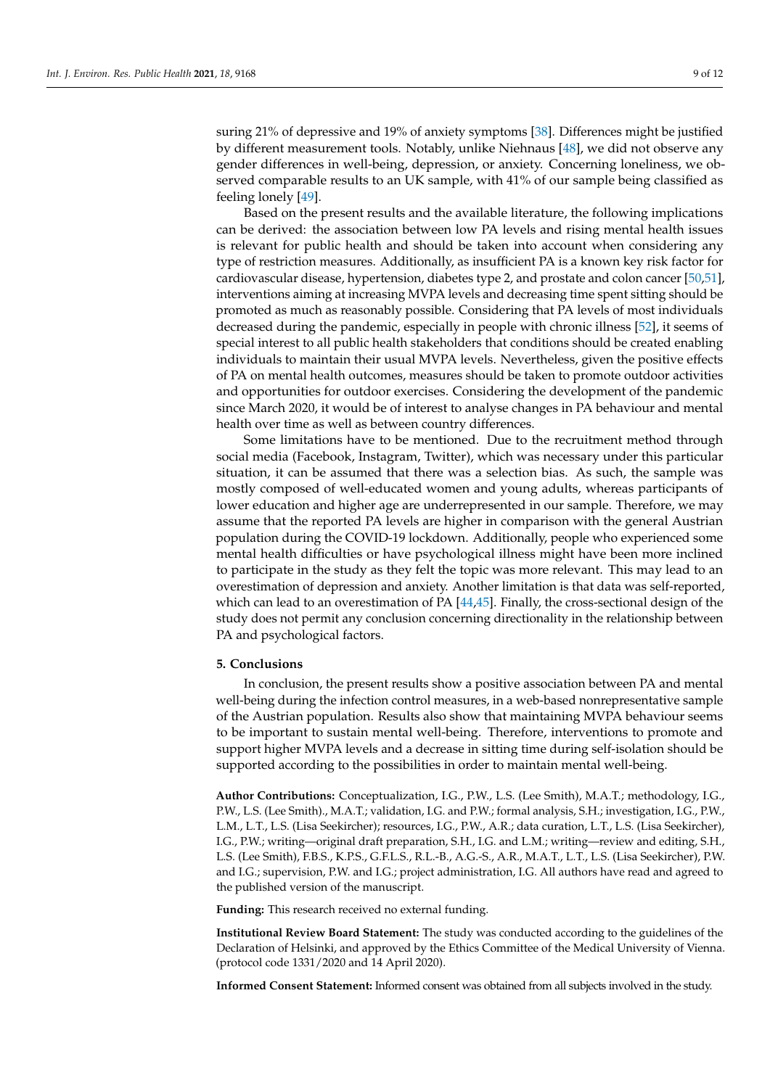suring 21% of depressive and 19% of anxiety symptoms [\[38\]](#page-10-22). Differences might be justified by different measurement tools. Notably, unlike Niehnaus [\[48\]](#page-11-2), we did not observe any gender differences in well-being, depression, or anxiety. Concerning loneliness, we observed comparable results to an UK sample, with 41% of our sample being classified as feeling lonely [\[49\]](#page-11-3).

Based on the present results and the available literature, the following implications can be derived: the association between low PA levels and rising mental health issues is relevant for public health and should be taken into account when considering any type of restriction measures. Additionally, as insufficient PA is a known key risk factor for cardiovascular disease, hypertension, diabetes type 2, and prostate and colon cancer [\[50](#page-11-4)[,51\]](#page-11-5), interventions aiming at increasing MVPA levels and decreasing time spent sitting should be promoted as much as reasonably possible. Considering that PA levels of most individuals decreased during the pandemic, especially in people with chronic illness [\[52\]](#page-11-6), it seems of special interest to all public health stakeholders that conditions should be created enabling individuals to maintain their usual MVPA levels. Nevertheless, given the positive effects of PA on mental health outcomes, measures should be taken to promote outdoor activities and opportunities for outdoor exercises. Considering the development of the pandemic since March 2020, it would be of interest to analyse changes in PA behaviour and mental health over time as well as between country differences.

Some limitations have to be mentioned. Due to the recruitment method through social media (Facebook, Instagram, Twitter), which was necessary under this particular situation, it can be assumed that there was a selection bias. As such, the sample was mostly composed of well-educated women and young adults, whereas participants of lower education and higher age are underrepresented in our sample. Therefore, we may assume that the reported PA levels are higher in comparison with the general Austrian population during the COVID-19 lockdown. Additionally, people who experienced some mental health difficulties or have psychological illness might have been more inclined to participate in the study as they felt the topic was more relevant. This may lead to an overestimation of depression and anxiety. Another limitation is that data was self-reported, which can lead to an overestimation of PA  $[44,45]$  $[44,45]$ . Finally, the cross-sectional design of the study does not permit any conclusion concerning directionality in the relationship between PA and psychological factors.

## **5. Conclusions**

In conclusion, the present results show a positive association between PA and mental well-being during the infection control measures, in a web-based nonrepresentative sample of the Austrian population. Results also show that maintaining MVPA behaviour seems to be important to sustain mental well-being. Therefore, interventions to promote and support higher MVPA levels and a decrease in sitting time during self-isolation should be supported according to the possibilities in order to maintain mental well-being.

**Author Contributions:** Conceptualization, I.G., P.W., L.S. (Lee Smith), M.A.T.; methodology, I.G., P.W., L.S. (Lee Smith)., M.A.T.; validation, I.G. and P.W.; formal analysis, S.H.; investigation, I.G., P.W., L.M., L.T., L.S. (Lisa Seekircher); resources, I.G., P.W., A.R.; data curation, L.T., L.S. (Lisa Seekircher), I.G., P.W.; writing—original draft preparation, S.H., I.G. and L.M.; writing—review and editing, S.H., L.S. (Lee Smith), F.B.S., K.P.S., G.F.L.S., R.L.-B., A.G.-S., A.R., M.A.T., L.T., L.S. (Lisa Seekircher), P.W. and I.G.; supervision, P.W. and I.G.; project administration, I.G. All authors have read and agreed to the published version of the manuscript.

**Funding:** This research received no external funding.

**Institutional Review Board Statement:** The study was conducted according to the guidelines of the Declaration of Helsinki, and approved by the Ethics Committee of the Medical University of Vienna. (protocol code 1331/2020 and 14 April 2020).

**Informed Consent Statement:** Informed consent was obtained from all subjects involved in the study.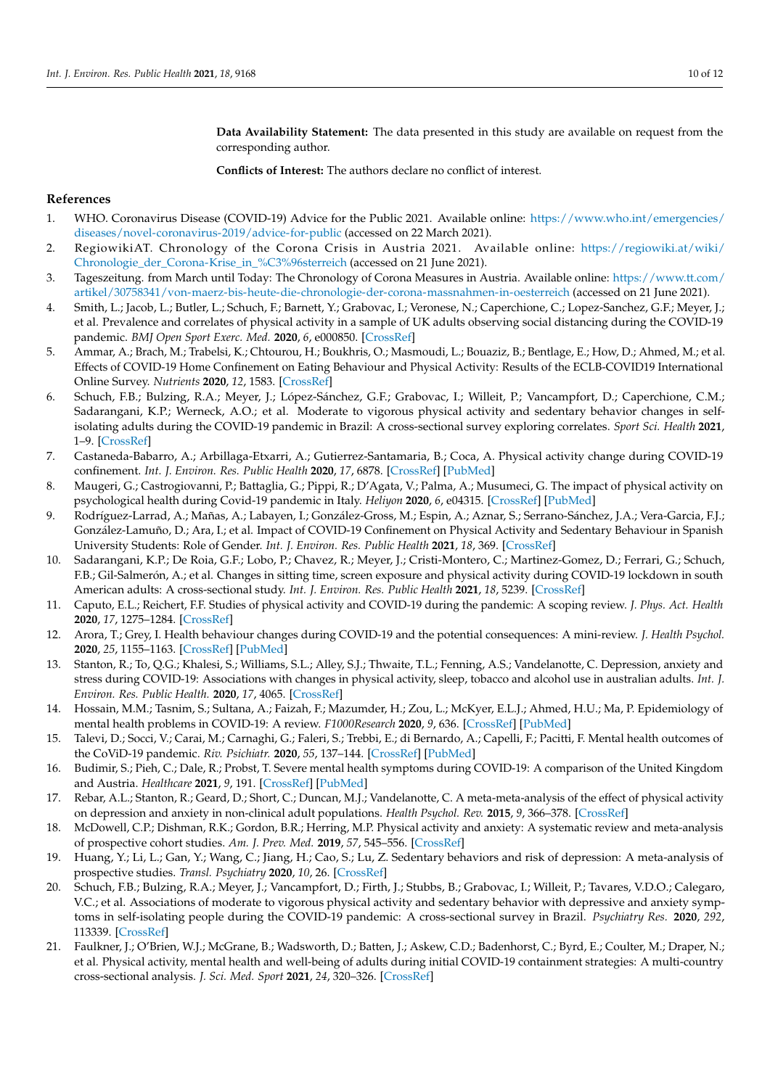**Data Availability Statement:** The data presented in this study are available on request from the corresponding author.

**Conflicts of Interest:** The authors declare no conflict of interest.

## **References**

- <span id="page-9-0"></span>1. WHO. Coronavirus Disease (COVID-19) Advice for the Public 2021. Available online: [https://www.who.int/emergencies/](https://www.who.int/emergencies/diseases/novel-coronavirus-2019/advice-for-public) [diseases/novel-coronavirus-2019/advice-for-public](https://www.who.int/emergencies/diseases/novel-coronavirus-2019/advice-for-public) (accessed on 22 March 2021).
- <span id="page-9-1"></span>2. RegiowikiAT. Chronology of the Corona Crisis in Austria 2021. Available online: [https://regiowiki.at/wiki/](https://regiowiki.at/wiki/Chronologie_der_Corona-Krise_in_%C3%96sterreich) [Chronologie\\_der\\_Corona-Krise\\_in\\_%C3%96sterreich](https://regiowiki.at/wiki/Chronologie_der_Corona-Krise_in_%C3%96sterreich) (accessed on 21 June 2021).
- <span id="page-9-2"></span>3. Tageszeitung. from March until Today: The Chronology of Corona Measures in Austria. Available online: [https://www.tt.com/](https://www.tt.com/artikel/30758341/von-maerz-bis-heute-die-chronologie-der-corona-massnahmen-in-oesterreich) [artikel/30758341/von-maerz-bis-heute-die-chronologie-der-corona-massnahmen-in-oesterreich](https://www.tt.com/artikel/30758341/von-maerz-bis-heute-die-chronologie-der-corona-massnahmen-in-oesterreich) (accessed on 21 June 2021).
- <span id="page-9-3"></span>4. Smith, L.; Jacob, L.; Butler, L.; Schuch, F.; Barnett, Y.; Grabovac, I.; Veronese, N.; Caperchione, C.; Lopez-Sanchez, G.F.; Meyer, J.; et al. Prevalence and correlates of physical activity in a sample of UK adults observing social distancing during the COVID-19 pandemic. *BMJ Open Sport Exerc. Med.* **2020**, *6*, e000850. [\[CrossRef\]](http://doi.org/10.1136/bmjsem-2020-000850)
- 5. Ammar, A.; Brach, M.; Trabelsi, K.; Chtourou, H.; Boukhris, O.; Masmoudi, L.; Bouaziz, B.; Bentlage, E.; How, D.; Ahmed, M.; et al. Effects of COVID-19 Home Confinement on Eating Behaviour and Physical Activity: Results of the ECLB-COVID19 International Online Survey. *Nutrients* **2020**, *12*, 1583. [\[CrossRef\]](http://doi.org/10.3390/nu12061583)
- 6. Schuch, F.B.; Bulzing, R.A.; Meyer, J.; López-Sánchez, G.F.; Grabovac, I.; Willeit, P.; Vancampfort, D.; Caperchione, C.M.; Sadarangani, K.P.; Werneck, A.O.; et al. Moderate to vigorous physical activity and sedentary behavior changes in selfisolating adults during the COVID-19 pandemic in Brazil: A cross-sectional survey exploring correlates. *Sport Sci. Health* **2021**, 1–9. [\[CrossRef\]](http://doi.org/10.1007/s11332-021-00788-x)
- 7. Castaneda-Babarro, A.; Arbillaga-Etxarri, A.; Gutierrez-Santamaria, B.; Coca, A. Physical activity change during COVID-19 confinement. *Int. J. Environ. Res. Public Health* **2020**, *17*, 6878. [\[CrossRef\]](http://doi.org/10.3390/ijerph17186878) [\[PubMed\]](http://www.ncbi.nlm.nih.gov/pubmed/32967091)
- <span id="page-9-11"></span>8. Maugeri, G.; Castrogiovanni, P.; Battaglia, G.; Pippi, R.; D'Agata, V.; Palma, A.; Musumeci, G. The impact of physical activity on psychological health during Covid-19 pandemic in Italy. *Heliyon* **2020**, *6*, e04315. [\[CrossRef\]](http://doi.org/10.1016/j.heliyon.2020.e04315) [\[PubMed\]](http://www.ncbi.nlm.nih.gov/pubmed/32613133)
- 9. Rodríguez-Larrad, A.; Mañas, A.; Labayen, I.; González-Gross, M.; Espin, A.; Aznar, S.; Serrano-Sánchez, J.A.; Vera-Garcia, F.J.; González-Lamuño, D.; Ara, I.; et al. Impact of COVID-19 Confinement on Physical Activity and Sedentary Behaviour in Spanish University Students: Role of Gender. *Int. J. Environ. Res. Public Health* **2021**, *18*, 369. [\[CrossRef\]](http://doi.org/10.3390/ijerph18020369)
- <span id="page-9-4"></span>10. Sadarangani, K.P.; De Roia, G.F.; Lobo, P.; Chavez, R.; Meyer, J.; Cristi-Montero, C.; Martinez-Gomez, D.; Ferrari, G.; Schuch, F.B.; Gil-Salmerón, A.; et al. Changes in sitting time, screen exposure and physical activity during COVID-19 lockdown in south American adults: A cross-sectional study. *Int. J. Environ. Res. Public Health* **2021**, *18*, 5239. [\[CrossRef\]](http://doi.org/10.3390/ijerph18105239)
- <span id="page-9-5"></span>11. Caputo, E.L.; Reichert, F.F. Studies of physical activity and COVID-19 during the pandemic: A scoping review. *J. Phys. Act. Health* **2020**, *17*, 1275–1284. [\[CrossRef\]](http://doi.org/10.1123/jpah.2020-0406)
- <span id="page-9-6"></span>12. Arora, T.; Grey, I. Health behaviour changes during COVID-19 and the potential consequences: A mini-review. *J. Health Psychol.* **2020**, *25*, 1155–1163. [\[CrossRef\]](http://doi.org/10.1177/1359105320937053) [\[PubMed\]](http://www.ncbi.nlm.nih.gov/pubmed/32551944)
- <span id="page-9-7"></span>13. Stanton, R.; To, Q.G.; Khalesi, S.; Williams, S.L.; Alley, S.J.; Thwaite, T.L.; Fenning, A.S.; Vandelanotte, C. Depression, anxiety and stress during COVID-19: Associations with changes in physical activity, sleep, tobacco and alcohol use in australian adults. *Int. J. Environ. Res. Public Health.* **2020**, *17*, 4065. [\[CrossRef\]](http://doi.org/10.3390/ijerph17114065)
- <span id="page-9-8"></span>14. Hossain, M.M.; Tasnim, S.; Sultana, A.; Faizah, F.; Mazumder, H.; Zou, L.; McKyer, E.L.J.; Ahmed, H.U.; Ma, P. Epidemiology of mental health problems in COVID-19: A review. *F1000Research* **2020**, *9*, 636. [\[CrossRef\]](http://doi.org/10.12688/f1000research.24457.1) [\[PubMed\]](http://www.ncbi.nlm.nih.gov/pubmed/33093946)
- <span id="page-9-9"></span>15. Talevi, D.; Socci, V.; Carai, M.; Carnaghi, G.; Faleri, S.; Trebbi, E.; di Bernardo, A.; Capelli, F.; Pacitti, F. Mental health outcomes of the CoViD-19 pandemic. *Riv. Psichiatr.* **2020**, *55*, 137–144. [\[CrossRef\]](http://doi.org/10.1708/3382.33569) [\[PubMed\]](http://www.ncbi.nlm.nih.gov/pubmed/32489190)
- <span id="page-9-10"></span>16. Budimir, S.; Pieh, C.; Dale, R.; Probst, T. Severe mental health symptoms during COVID-19: A comparison of the United Kingdom and Austria. *Healthcare* **2021**, *9*, 191. [\[CrossRef\]](http://doi.org/10.3390/healthcare9020191) [\[PubMed\]](http://www.ncbi.nlm.nih.gov/pubmed/33572425)
- <span id="page-9-12"></span>17. Rebar, A.L.; Stanton, R.; Geard, D.; Short, C.; Duncan, M.J.; Vandelanotte, C. A meta-meta-analysis of the effect of physical activity on depression and anxiety in non-clinical adult populations. *Health Psychol. Rev.* **2015**, *9*, 366–378. [\[CrossRef\]](http://doi.org/10.1080/17437199.2015.1022901)
- 18. McDowell, C.P.; Dishman, R.K.; Gordon, B.R.; Herring, M.P. Physical activity and anxiety: A systematic review and meta-analysis of prospective cohort studies. *Am. J. Prev. Med.* **2019**, *57*, 545–556. [\[CrossRef\]](http://doi.org/10.1016/j.amepre.2019.05.012)
- <span id="page-9-13"></span>19. Huang, Y.; Li, L.; Gan, Y.; Wang, C.; Jiang, H.; Cao, S.; Lu, Z. Sedentary behaviors and risk of depression: A meta-analysis of prospective studies. *Transl. Psychiatry* **2020**, *10*, 26. [\[CrossRef\]](http://doi.org/10.1038/s41398-020-0715-z)
- <span id="page-9-14"></span>20. Schuch, F.B.; Bulzing, R.A.; Meyer, J.; Vancampfort, D.; Firth, J.; Stubbs, B.; Grabovac, I.; Willeit, P.; Tavares, V.D.O.; Calegaro, V.C.; et al. Associations of moderate to vigorous physical activity and sedentary behavior with depressive and anxiety symptoms in self-isolating people during the COVID-19 pandemic: A cross-sectional survey in Brazil. *Psychiatry Res.* **2020**, *292*, 113339. [\[CrossRef\]](http://doi.org/10.1016/j.psychres.2020.113339)
- <span id="page-9-15"></span>21. Faulkner, J.; O'Brien, W.J.; McGrane, B.; Wadsworth, D.; Batten, J.; Askew, C.D.; Badenhorst, C.; Byrd, E.; Coulter, M.; Draper, N.; et al. Physical activity, mental health and well-being of adults during initial COVID-19 containment strategies: A multi-country cross-sectional analysis. *J. Sci. Med. Sport* **2021**, *24*, 320–326. [\[CrossRef\]](http://doi.org/10.1016/j.jsams.2020.11.016)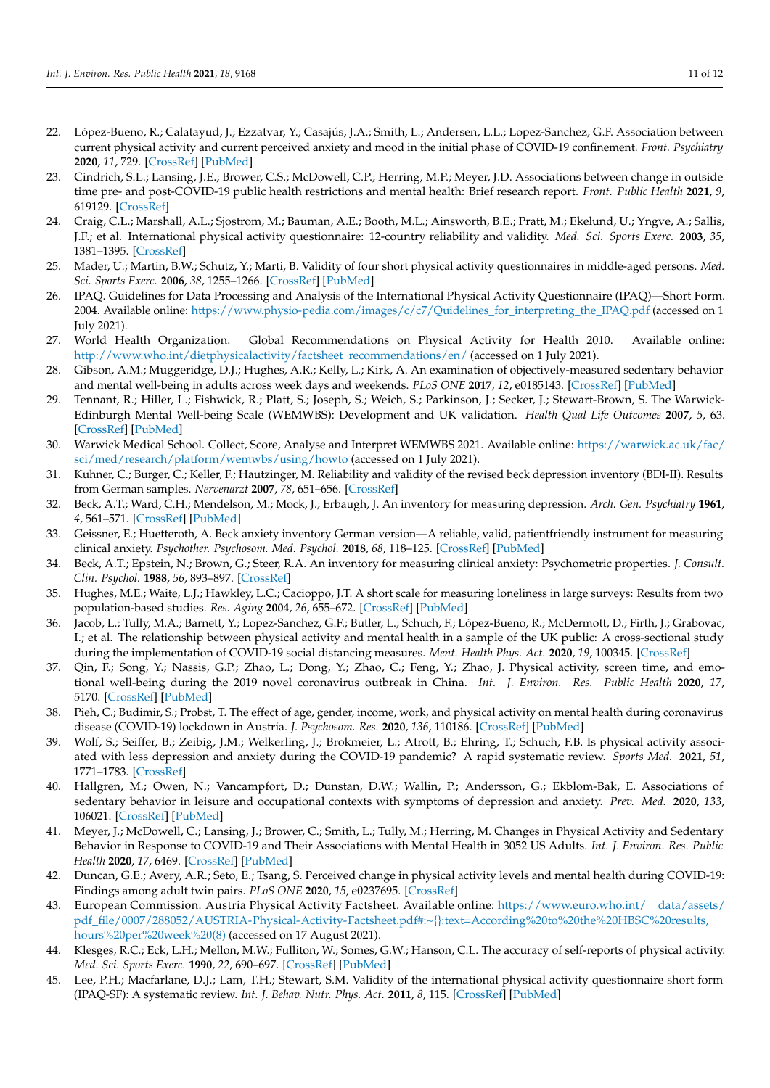- <span id="page-10-0"></span>22. López-Bueno, R.; Calatayud, J.; Ezzatvar, Y.; Casajús, J.A.; Smith, L.; Andersen, L.L.; Lopez-Sanchez, G.F. Association between current physical activity and current perceived anxiety and mood in the initial phase of COVID-19 confinement. *Front. Psychiatry* **2020**, *11*, 729. [\[CrossRef\]](http://doi.org/10.3389/fpsyt.2020.00729) [\[PubMed\]](http://www.ncbi.nlm.nih.gov/pubmed/32793013)
- <span id="page-10-1"></span>23. Cindrich, S.L.; Lansing, J.E.; Brower, C.S.; McDowell, C.P.; Herring, M.P.; Meyer, J.D. Associations between change in outside time pre- and post-COVID-19 public health restrictions and mental health: Brief research report. *Front. Public Health* **2021**, *9*, 619129. [\[CrossRef\]](http://doi.org/10.3389/fpubh.2021.619129)
- <span id="page-10-2"></span>24. Craig, C.L.; Marshall, A.L.; Sjostrom, M.; Bauman, A.E.; Booth, M.L.; Ainsworth, B.E.; Pratt, M.; Ekelund, U.; Yngve, A.; Sallis, J.F.; et al. International physical activity questionnaire: 12-country reliability and validity. *Med. Sci. Sports Exerc.* **2003**, *35*, 1381–1395. [\[CrossRef\]](http://doi.org/10.1249/01.MSS.0000078924.61453.FB)
- <span id="page-10-3"></span>25. Mader, U.; Martin, B.W.; Schutz, Y.; Marti, B. Validity of four short physical activity questionnaires in middle-aged persons. *Med. Sci. Sports Exerc.* **2006**, *38*, 1255–1266. [\[CrossRef\]](http://doi.org/10.1249/01.mss.0000227310.18902.28) [\[PubMed\]](http://www.ncbi.nlm.nih.gov/pubmed/16826022)
- <span id="page-10-4"></span>26. IPAQ. Guidelines for Data Processing and Analysis of the International Physical Activity Questionnaire (IPAQ)—Short Form. 2004. Available online: [https://www.physio-pedia.com/images/c/c7/Quidelines\\_for\\_interpreting\\_the\\_IPAQ.pdf](https://www.physio-pedia.com/images/c/c7/Quidelines_for_interpreting_the_IPAQ.pdf) (accessed on 1 July 2021).
- <span id="page-10-5"></span>27. World Health Organization. Global Recommendations on Physical Activity for Health 2010. Available online: [http://www.who.int/dietphysicalactivity/factsheet\\_recommendations/en/](http://www.who.int/dietphysicalactivity/factsheet_recommendations/en/) (accessed on 1 July 2021).
- <span id="page-10-6"></span>28. Gibson, A.M.; Muggeridge, D.J.; Hughes, A.R.; Kelly, L.; Kirk, A. An examination of objectively-measured sedentary behavior and mental well-being in adults across week days and weekends. *PLoS ONE* **2017**, *12*, e0185143. [\[CrossRef\]](http://doi.org/10.1371/journal.pone.0185143) [\[PubMed\]](http://www.ncbi.nlm.nih.gov/pubmed/28934319)
- <span id="page-10-7"></span>29. Tennant, R.; Hiller, L.; Fishwick, R.; Platt, S.; Joseph, S.; Weich, S.; Parkinson, J.; Secker, J.; Stewart-Brown, S. The Warwick-Edinburgh Mental Well-being Scale (WEMWBS): Development and UK validation. *Health Qual Life Outcomes* **2007**, *5*, 63. [\[CrossRef\]](http://doi.org/10.1186/1477-7525-5-63) [\[PubMed\]](http://www.ncbi.nlm.nih.gov/pubmed/18042300)
- <span id="page-10-8"></span>30. Warwick Medical School. Collect, Score, Analyse and Interpret WEMWBS 2021. Available online: [https://warwick.ac.uk/fac/](https://warwick.ac.uk/fac/sci/med/research/platform/wemwbs/using/howto) [sci/med/research/platform/wemwbs/using/howto](https://warwick.ac.uk/fac/sci/med/research/platform/wemwbs/using/howto) (accessed on 1 July 2021).
- <span id="page-10-9"></span>31. Kuhner, C.; Burger, C.; Keller, F.; Hautzinger, M. Reliability and validity of the revised beck depression inventory (BDI-II). Results from German samples. *Nervenarzt* **2007**, *78*, 651–656. [\[CrossRef\]](http://doi.org/10.1007/s00115-006-2098-7)
- <span id="page-10-10"></span>32. Beck, A.T.; Ward, C.H.; Mendelson, M.; Mock, J.; Erbaugh, J. An inventory for measuring depression. *Arch. Gen. Psychiatry* **1961**, *4*, 561–571. [\[CrossRef\]](http://doi.org/10.1001/archpsyc.1961.01710120031004) [\[PubMed\]](http://www.ncbi.nlm.nih.gov/pubmed/13688369)
- <span id="page-10-11"></span>33. Geissner, E.; Huetteroth, A. Beck anxiety inventory German version—A reliable, valid, patientfriendly instrument for measuring clinical anxiety. *Psychother. Psychosom. Med. Psychol.* **2018**, *68*, 118–125. [\[CrossRef\]](http://doi.org/10.1055/s-0043-122941) [\[PubMed\]](http://www.ncbi.nlm.nih.gov/pubmed/29351711)
- <span id="page-10-12"></span>34. Beck, A.T.; Epstein, N.; Brown, G.; Steer, R.A. An inventory for measuring clinical anxiety: Psychometric properties. *J. Consult. Clin. Psychol.* **1988**, *56*, 893–897. [\[CrossRef\]](http://doi.org/10.1037/0022-006X.56.6.893)
- <span id="page-10-13"></span>35. Hughes, M.E.; Waite, L.J.; Hawkley, L.C.; Cacioppo, J.T. A short scale for measuring loneliness in large surveys: Results from two population-based studies. *Res. Aging* **2004**, *26*, 655–672. [\[CrossRef\]](http://doi.org/10.1177/0164027504268574) [\[PubMed\]](http://www.ncbi.nlm.nih.gov/pubmed/18504506)
- <span id="page-10-14"></span>36. Jacob, L.; Tully, M.A.; Barnett, Y.; Lopez-Sanchez, G.F.; Butler, L.; Schuch, F.; López-Bueno, R.; McDermott, D.; Firth, J.; Grabovac, I.; et al. The relationship between physical activity and mental health in a sample of the UK public: A cross-sectional study during the implementation of COVID-19 social distancing measures. *Ment. Health Phys. Act.* **2020**, *19*, 100345. [\[CrossRef\]](http://doi.org/10.1016/j.mhpa.2020.100345)
- 37. Qin, F.; Song, Y.; Nassis, G.P.; Zhao, L.; Dong, Y.; Zhao, C.; Feng, Y.; Zhao, J. Physical activity, screen time, and emotional well-being during the 2019 novel coronavirus outbreak in China. *Int. J. Environ. Res. Public Health* **2020**, *17*, 5170. [\[CrossRef\]](http://doi.org/10.3390/ijerph17145170) [\[PubMed\]](http://www.ncbi.nlm.nih.gov/pubmed/32709003)
- <span id="page-10-22"></span>38. Pieh, C.; Budimir, S.; Probst, T. The effect of age, gender, income, work, and physical activity on mental health during coronavirus disease (COVID-19) lockdown in Austria. *J. Psychosom. Res.* **2020**, *136*, 110186. [\[CrossRef\]](http://doi.org/10.1016/j.jpsychores.2020.110186) [\[PubMed\]](http://www.ncbi.nlm.nih.gov/pubmed/32682159)
- <span id="page-10-15"></span>39. Wolf, S.; Seiffer, B.; Zeibig, J.M.; Welkerling, J.; Brokmeier, L.; Atrott, B.; Ehring, T.; Schuch, F.B. Is physical activity associated with less depression and anxiety during the COVID-19 pandemic? A rapid systematic review. *Sports Med.* **2021**, *51*, 1771–1783. [\[CrossRef\]](http://doi.org/10.1007/s40279-021-01468-z)
- <span id="page-10-16"></span>40. Hallgren, M.; Owen, N.; Vancampfort, D.; Dunstan, D.W.; Wallin, P.; Andersson, G.; Ekblom-Bak, E. Associations of sedentary behavior in leisure and occupational contexts with symptoms of depression and anxiety. *Prev. Med.* **2020**, *133*, 106021. [\[CrossRef\]](http://doi.org/10.1016/j.ypmed.2020.106021) [\[PubMed\]](http://www.ncbi.nlm.nih.gov/pubmed/32044415)
- <span id="page-10-17"></span>41. Meyer, J.; McDowell, C.; Lansing, J.; Brower, C.; Smith, L.; Tully, M.; Herring, M. Changes in Physical Activity and Sedentary Behavior in Response to COVID-19 and Their Associations with Mental Health in 3052 US Adults. *Int. J. Environ. Res. Public Health* **2020**, *17*, 6469. [\[CrossRef\]](http://doi.org/10.3390/ijerph17186469) [\[PubMed\]](http://www.ncbi.nlm.nih.gov/pubmed/32899495)
- <span id="page-10-18"></span>42. Duncan, G.E.; Avery, A.R.; Seto, E.; Tsang, S. Perceived change in physical activity levels and mental health during COVID-19: Findings among adult twin pairs. *PLoS ONE* **2020**, *15*, e0237695. [\[CrossRef\]](http://doi.org/10.1371/journal.pone.0237695)
- <span id="page-10-19"></span>43. European Commission. Austria Physical Activity Factsheet. Available online: [https://www.euro.who.int/\\_\\_data/assets/](https://www.euro.who.int/__data/assets/pdf_file/0007/288052/AUSTRIA-Physical-Activity-Factsheet.pdf#:~{}:text=According%20to%20the%20HBSC%20results,hours%20per%20week%20(8)) [pdf\\_file/0007/288052/AUSTRIA-Physical-Activity-Factsheet.pdf#:~{}:text=According%20to%20the%20HBSC%20results,](https://www.euro.who.int/__data/assets/pdf_file/0007/288052/AUSTRIA-Physical-Activity-Factsheet.pdf#:~{}:text=According%20to%20the%20HBSC%20results,hours%20per%20week%20(8)) [hours%20per%20week%20\(8\)](https://www.euro.who.int/__data/assets/pdf_file/0007/288052/AUSTRIA-Physical-Activity-Factsheet.pdf#:~{}:text=According%20to%20the%20HBSC%20results,hours%20per%20week%20(8)) (accessed on 17 August 2021).
- <span id="page-10-20"></span>44. Klesges, R.C.; Eck, L.H.; Mellon, M.W.; Fulliton, W.; Somes, G.W.; Hanson, C.L. The accuracy of self-reports of physical activity. *Med. Sci. Sports Exerc.* **1990**, *22*, 690–697. [\[CrossRef\]](http://doi.org/10.1249/00005768-199010000-00022) [\[PubMed\]](http://www.ncbi.nlm.nih.gov/pubmed/2233209)
- <span id="page-10-21"></span>45. Lee, P.H.; Macfarlane, D.J.; Lam, T.H.; Stewart, S.M. Validity of the international physical activity questionnaire short form (IPAQ-SF): A systematic review. *Int. J. Behav. Nutr. Phys. Act.* **2011**, *8*, 115. [\[CrossRef\]](http://doi.org/10.1186/1479-5868-8-115) [\[PubMed\]](http://www.ncbi.nlm.nih.gov/pubmed/22018588)